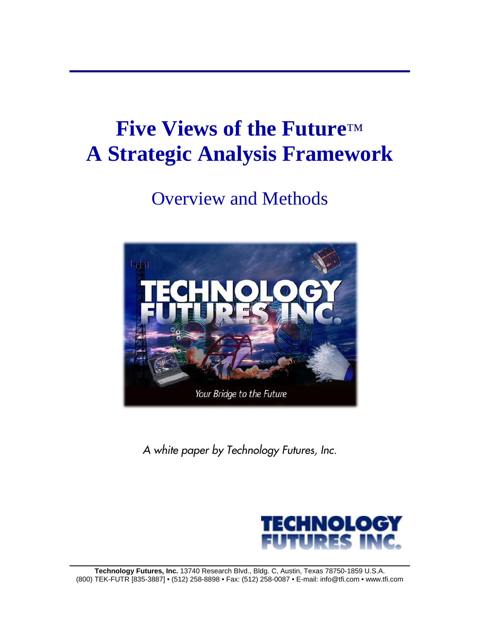# **Five Views of the Future**™ **A Strategic Analysis Framework**

## Overview and Methods



*A white paper by Technology Futures, Inc.* 

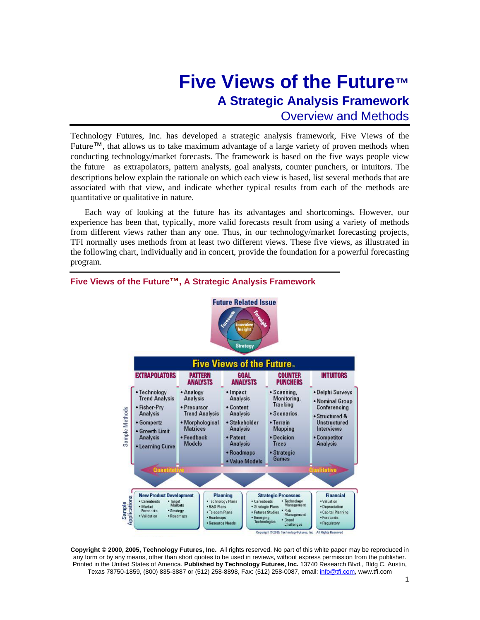### **Five Views of the Future™ A Strategic Analysis Framework**  Overview and Methods

Technology Futures, Inc. has developed a strategic analysis framework, Five Views of the Future™, that allows us to take maximum advantage of a large variety of proven methods when conducting technology/market forecasts. The framework is based on the five ways people view the future as extrapolators, pattern analysts, goal analysts, counter punchers, or intuitors. The descriptions below explain the rationale on which each view is based, list several methods that are associated with that view, and indicate whether typical results from each of the methods are quantitative or qualitative in nature.

Each way of looking at the future has its advantages and shortcomings. However, our experience has been that, typically, more valid forecasts result from using a variety of methods from different views rather than any one. Thus, in our technology/market forecasting projects, TFI normally uses methods from at least two different views. These five views, as illustrated in the following chart, individually and in concert, provide the foundation for a powerful forecasting program.



#### **Five Views of the Future™, A Strategic Analysis Framework**

**Copyright © 2000, 2005, Technology Futures, Inc.** All rights reserved. No part of this white paper may be reproduced in any form or by any means, other than short quotes to be used in reviews, without express permission from the publisher. Printed in the United States of America. **Published by Technology Futures, Inc.** 13740 Research Blvd., Bldg C, Austin, Texas 78750-1859, (800) 835-3887 or (512) 258-8898, Fax: (512) 258-0087, email: info@tfi.com, www.tfi.com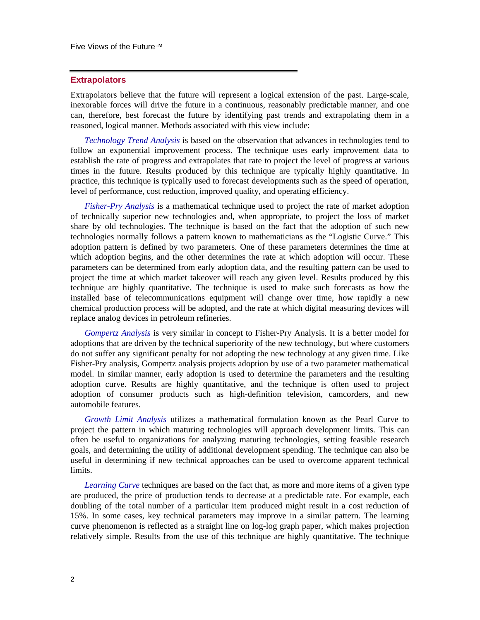#### **Extrapolators**

Extrapolators believe that the future will represent a logical extension of the past. Large-scale, inexorable forces will drive the future in a continuous, reasonably predictable manner, and one can, therefore, best forecast the future by identifying past trends and extrapolating them in a reasoned, logical manner. Methods associated with this view include:

*Technology Trend Analysis* is based on the observation that advances in technologies tend to follow an exponential improvement process. The technique uses early improvement data to establish the rate of progress and extrapolates that rate to project the level of progress at various times in the future. Results produced by this technique are typically highly quantitative. In practice, this technique is typically used to forecast developments such as the speed of operation, level of performance, cost reduction, improved quality, and operating efficiency.

*Fisher-Pry Analysis* is a mathematical technique used to project the rate of market adoption of technically superior new technologies and, when appropriate, to project the loss of market share by old technologies. The technique is based on the fact that the adoption of such new technologies normally follows a pattern known to mathematicians as the "Logistic Curve." This adoption pattern is defined by two parameters. One of these parameters determines the time at which adoption begins, and the other determines the rate at which adoption will occur. These parameters can be determined from early adoption data, and the resulting pattern can be used to project the time at which market takeover will reach any given level. Results produced by this technique are highly quantitative. The technique is used to make such forecasts as how the installed base of telecommunications equipment will change over time, how rapidly a new chemical production process will be adopted, and the rate at which digital measuring devices will replace analog devices in petroleum refineries.

*Gompertz Analysis* is very similar in concept to Fisher-Pry Analysis. It is a better model for adoptions that are driven by the technical superiority of the new technology, but where customers do not suffer any significant penalty for not adopting the new technology at any given time. Like Fisher-Pry analysis, Gompertz analysis projects adoption by use of a two parameter mathematical model. In similar manner, early adoption is used to determine the parameters and the resulting adoption curve. Results are highly quantitative, and the technique is often used to project adoption of consumer products such as high-definition television, camcorders, and new automobile features.

*Growth Limit Analysis* utilizes a mathematical formulation known as the Pearl Curve to project the pattern in which maturing technologies will approach development limits. This can often be useful to organizations for analyzing maturing technologies, setting feasible research goals, and determining the utility of additional development spending. The technique can also be useful in determining if new technical approaches can be used to overcome apparent technical limits.

*Learning Curve* techniques are based on the fact that, as more and more items of a given type are produced, the price of production tends to decrease at a predictable rate. For example, each doubling of the total number of a particular item produced might result in a cost reduction of 15%. In some cases, key technical parameters may improve in a similar pattern. The learning curve phenomenon is reflected as a straight line on log-log graph paper, which makes projection relatively simple. Results from the use of this technique are highly quantitative. The technique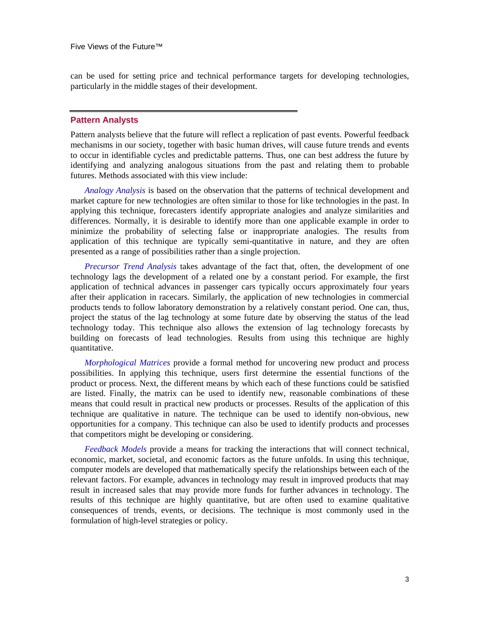can be used for setting price and technical performance targets for developing technologies, particularly in the middle stages of their development.

#### **Pattern Analysts**

Pattern analysts believe that the future will reflect a replication of past events. Powerful feedback mechanisms in our society, together with basic human drives, will cause future trends and events to occur in identifiable cycles and predictable patterns. Thus, one can best address the future by identifying and analyzing analogous situations from the past and relating them to probable futures. Methods associated with this view include:

*Analogy Analysis* is based on the observation that the patterns of technical development and market capture for new technologies are often similar to those for like technologies in the past. In applying this technique, forecasters identify appropriate analogies and analyze similarities and differences. Normally, it is desirable to identify more than one applicable example in order to minimize the probability of selecting false or inappropriate analogies. The results from application of this technique are typically semi-quantitative in nature, and they are often presented as a range of possibilities rather than a single projection.

*Precursor Trend Analysis* takes advantage of the fact that, often, the development of one technology lags the development of a related one by a constant period. For example, the first application of technical advances in passenger cars typically occurs approximately four years after their application in racecars. Similarly, the application of new technologies in commercial products tends to follow laboratory demonstration by a relatively constant period. One can, thus, project the status of the lag technology at some future date by observing the status of the lead technology today. This technique also allows the extension of lag technology forecasts by building on forecasts of lead technologies. Results from using this technique are highly quantitative.

*Morphological Matrices* provide a formal method for uncovering new product and process possibilities. In applying this technique, users first determine the essential functions of the product or process. Next, the different means by which each of these functions could be satisfied are listed. Finally, the matrix can be used to identify new, reasonable combinations of these means that could result in practical new products or processes. Results of the application of this technique are qualitative in nature. The technique can be used to identify non-obvious, new opportunities for a company. This technique can also be used to identify products and processes that competitors might be developing or considering.

*Feedback Models* provide a means for tracking the interactions that will connect technical, economic, market, societal, and economic factors as the future unfolds. In using this technique, computer models are developed that mathematically specify the relationships between each of the relevant factors. For example, advances in technology may result in improved products that may result in increased sales that may provide more funds for further advances in technology. The results of this technique are highly quantitative, but are often used to examine qualitative consequences of trends, events, or decisions. The technique is most commonly used in the formulation of high-level strategies or policy.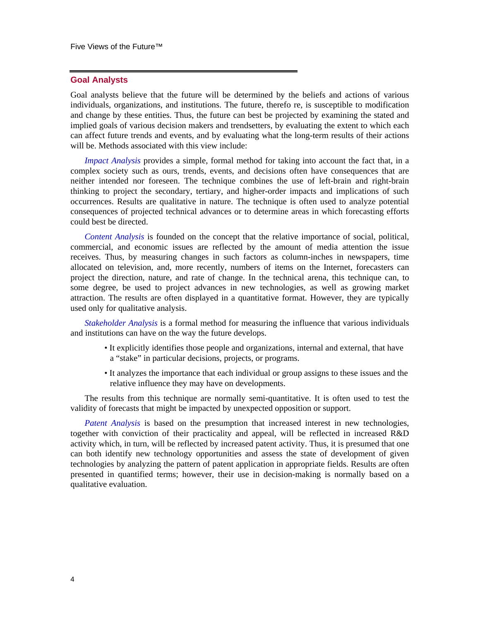#### **Goal Analysts**

Goal analysts believe that the future will be determined by the beliefs and actions of various individuals, organizations, and institutions. The future, therefo re, is susceptible to modification and change by these entities. Thus, the future can best be projected by examining the stated and implied goals of various decision makers and trendsetters, by evaluating the extent to which each can affect future trends and events, and by evaluating what the long-term results of their actions will be. Methods associated with this view include:

*Impact Analysis* provides a simple, formal method for taking into account the fact that, in a complex society such as ours, trends, events, and decisions often have consequences that are neither intended nor foreseen. The technique combines the use of left-brain and right-brain thinking to project the secondary, tertiary, and higher-order impacts and implications of such occurrences. Results are qualitative in nature. The technique is often used to analyze potential consequences of projected technical advances or to determine areas in which forecasting efforts could best be directed.

*Content Analysis* is founded on the concept that the relative importance of social, political, commercial, and economic issues are reflected by the amount of media attention the issue receives. Thus, by measuring changes in such factors as column-inches in newspapers, time allocated on television, and, more recently, numbers of items on the Internet, forecasters can project the direction, nature, and rate of change. In the technical arena, this technique can, to some degree, be used to project advances in new technologies, as well as growing market attraction. The results are often displayed in a quantitative format. However, they are typically used only for qualitative analysis.

*Stakeholder Analysis* is a formal method for measuring the influence that various individuals and institutions can have on the way the future develops.

- It explicitly identifies those people and organizations, internal and external, that have a "stake" in particular decisions, projects, or programs.
- It analyzes the importance that each individual or group assigns to these issues and the relative influence they may have on developments.

The results from this technique are normally semi-quantitative. It is often used to test the validity of forecasts that might be impacted by unexpected opposition or support.

*Patent Analysis* is based on the presumption that increased interest in new technologies, together with conviction of their practicality and appeal, will be reflected in increased R&D activity which, in turn, will be reflected by increased patent activity. Thus, it is presumed that one can both identify new technology opportunities and assess the state of development of given technologies by analyzing the pattern of patent application in appropriate fields. Results are often presented in quantified terms; however, their use in decision-making is normally based on a qualitative evaluation.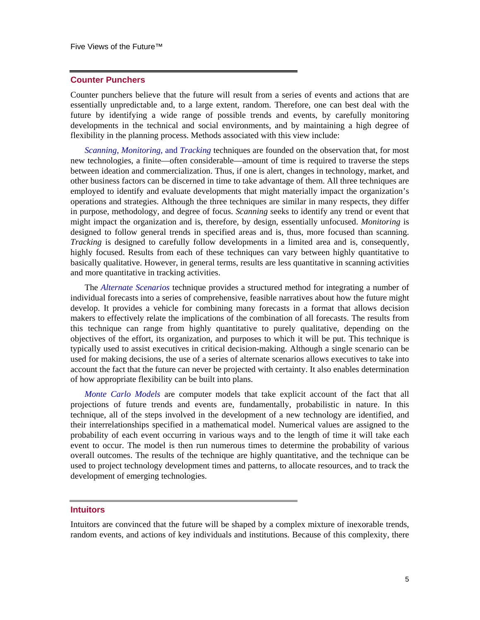#### **Counter Punchers**

Counter punchers believe that the future will result from a series of events and actions that are essentially unpredictable and, to a large extent, random. Therefore, one can best deal with the future by identifying a wide range of possible trends and events, by carefully monitoring developments in the technical and social environments, and by maintaining a high degree of flexibility in the planning process. Methods associated with this view include:

*Scanning*, *Monitoring*, and *Tracking* techniques are founded on the observation that, for most new technologies, a finite—often considerable—amount of time is required to traverse the steps between ideation and commercialization. Thus, if one is alert, changes in technology, market, and other business factors can be discerned in time to take advantage of them. All three techniques are employed to identify and evaluate developments that might materially impact the organization's operations and strategies. Although the three techniques are similar in many respects, they differ in purpose, methodology, and degree of focus. *Scanning* seeks to identify any trend or event that might impact the organization and is, therefore, by design, essentially unfocused. *Monitoring* is designed to follow general trends in specified areas and is, thus, more focused than scanning. *Tracking* is designed to carefully follow developments in a limited area and is, consequently, highly focused. Results from each of these techniques can vary between highly quantitative to basically qualitative. However, in general terms, results are less quantitative in scanning activities and more quantitative in tracking activities.

The *Alternate Scenarios* technique provides a structured method for integrating a number of individual forecasts into a series of comprehensive, feasible narratives about how the future might develop. It provides a vehicle for combining many forecasts in a format that allows decision makers to effectively relate the implications of the combination of all forecasts. The results from this technique can range from highly quantitative to purely qualitative, depending on the objectives of the effort, its organization, and purposes to which it will be put. This technique is typically used to assist executives in critical decision-making. Although a single scenario can be used for making decisions, the use of a series of alternate scenarios allows executives to take into account the fact that the future can never be projected with certainty. It also enables determination of how appropriate flexibility can be built into plans.

*Monte Carlo Models* are computer models that take explicit account of the fact that all projections of future trends and events are, fundamentally, probabilistic in nature. In this technique, all of the steps involved in the development of a new technology are identified, and their interrelationships specified in a mathematical model. Numerical values are assigned to the probability of each event occurring in various ways and to the length of time it will take each event to occur. The model is then run numerous times to determine the probability of various overall outcomes. The results of the technique are highly quantitative, and the technique can be used to project technology development times and patterns, to allocate resources, and to track the development of emerging technologies.

#### **Intuitors**

Intuitors are convinced that the future will be shaped by a complex mixture of inexorable trends, random events, and actions of key individuals and institutions. Because of this complexity, there